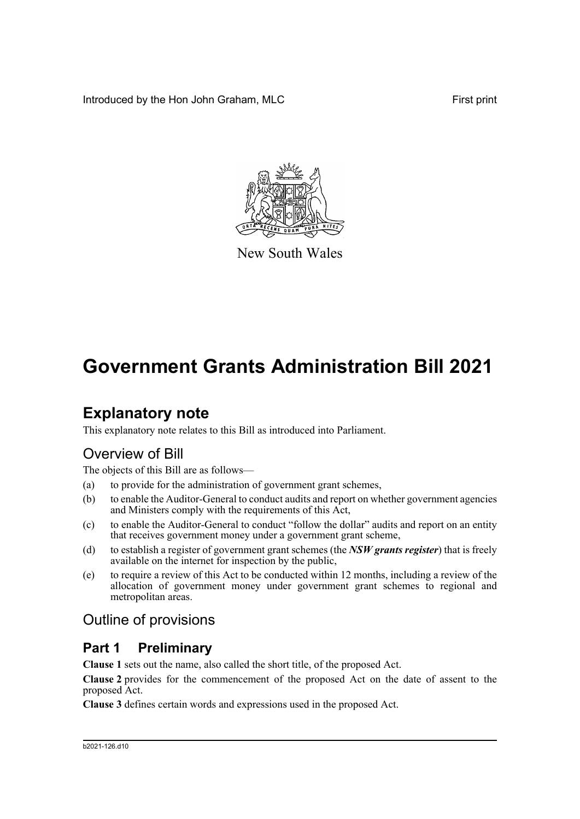Introduced by the Hon John Graham, MLC First print



New South Wales

# **Government Grants Administration Bill 2021**

## **Explanatory note**

This explanatory note relates to this Bill as introduced into Parliament.

## Overview of Bill

The objects of this Bill are as follows—

- (a) to provide for the administration of government grant schemes,
- (b) to enable the Auditor-General to conduct audits and report on whether government agencies and Ministers comply with the requirements of this Act,
- (c) to enable the Auditor-General to conduct "follow the dollar" audits and report on an entity that receives government money under a government grant scheme,
- (d) to establish a register of government grant schemes (the *NSW grants register*) that is freely available on the internet for inspection by the public,
- (e) to require a review of this Act to be conducted within 12 months, including a review of the allocation of government money under government grant schemes to regional and metropolitan areas.

## Outline of provisions

## **Part 1 Preliminary**

**Clause 1** sets out the name, also called the short title, of the proposed Act.

**Clause 2** provides for the commencement of the proposed Act on the date of assent to the proposed Act.

**Clause 3** defines certain words and expressions used in the proposed Act.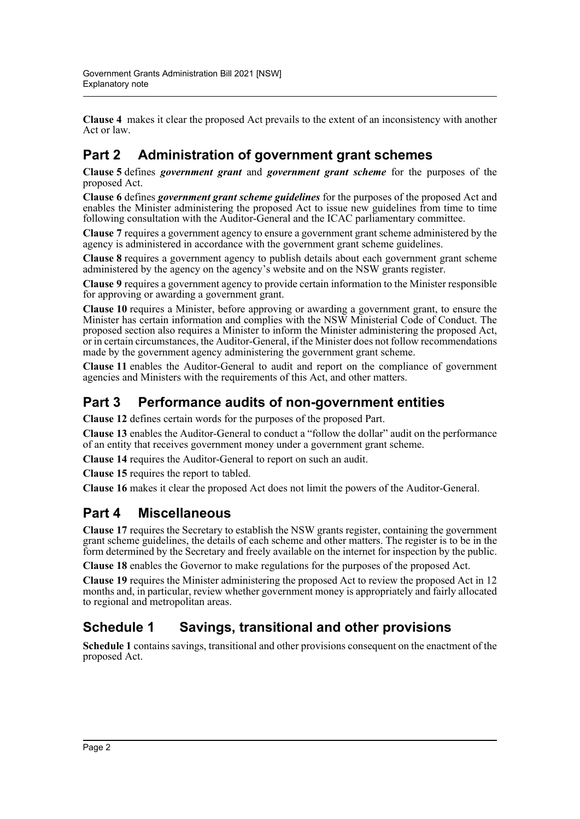**Clause 4** makes it clear the proposed Act prevails to the extent of an inconsistency with another Act or law.

## **Part 2 Administration of government grant schemes**

**Clause 5** defines *government grant* and *government grant scheme* for the purposes of the proposed Act.

**Clause 6** defines *government grant scheme guidelines* for the purposes of the proposed Act and enables the Minister administering the proposed Act to issue new guidelines from time to time following consultation with the Auditor-General and the ICAC parliamentary committee.

**Clause 7** requires a government agency to ensure a government grant scheme administered by the agency is administered in accordance with the government grant scheme guidelines.

**Clause 8** requires a government agency to publish details about each government grant scheme administered by the agency on the agency's website and on the NSW grants register.

**Clause 9** requires a government agency to provide certain information to the Minister responsible for approving or awarding a government grant.

**Clause 10** requires a Minister, before approving or awarding a government grant, to ensure the Minister has certain information and complies with the NSW Ministerial Code of Conduct. The proposed section also requires a Minister to inform the Minister administering the proposed Act, or in certain circumstances, the Auditor-General, if the Minister does not follow recommendations made by the government agency administering the government grant scheme.

**Clause 11** enables the Auditor-General to audit and report on the compliance of government agencies and Ministers with the requirements of this Act, and other matters.

## **Part 3 Performance audits of non-government entities**

**Clause 12** defines certain words for the purposes of the proposed Part.

**Clause 13** enables the Auditor-General to conduct a "follow the dollar" audit on the performance of an entity that receives government money under a government grant scheme.

**Clause 14** requires the Auditor-General to report on such an audit.

**Clause 15** requires the report to tabled.

**Clause 16** makes it clear the proposed Act does not limit the powers of the Auditor-General.

### **Part 4 Miscellaneous**

**Clause 17** requires the Secretary to establish the NSW grants register, containing the government grant scheme guidelines, the details of each scheme and other matters. The register is to be in the form determined by the Secretary and freely available on the internet for inspection by the public.

**Clause 18** enables the Governor to make regulations for the purposes of the proposed Act.

**Clause 19** requires the Minister administering the proposed Act to review the proposed Act in 12 months and, in particular, review whether government money is appropriately and fairly allocated to regional and metropolitan areas.

## **Schedule 1 Savings, transitional and other provisions**

**Schedule 1** contains savings, transitional and other provisions consequent on the enactment of the proposed Act.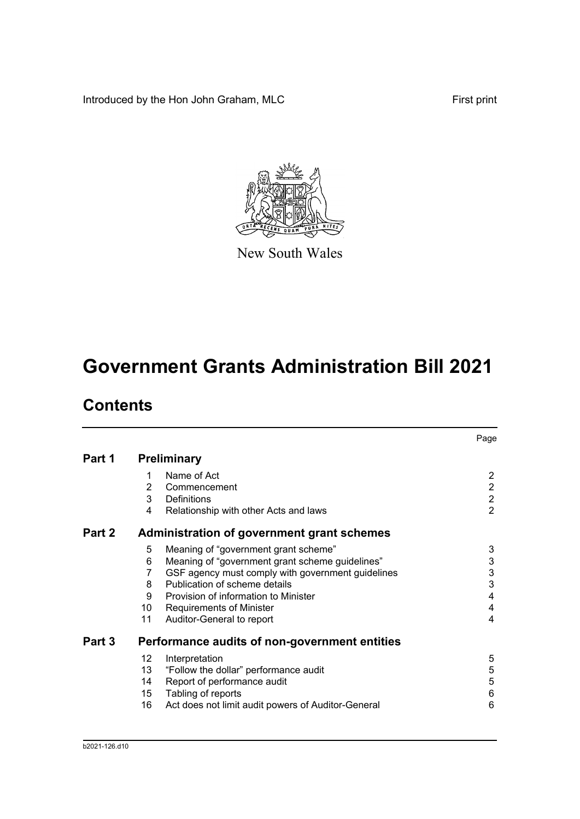Introduced by the Hon John Graham, MLC First print



New South Wales

# **Government Grants Administration Bill 2021**

## **Contents**

|        |                |                                                    | Page                      |
|--------|----------------|----------------------------------------------------|---------------------------|
| Part 1 |                | <b>Preliminary</b>                                 |                           |
|        | 1              | Name of Act                                        | $\overline{2}$            |
|        | $\overline{2}$ | Commencement                                       | $\overline{2}$            |
|        | 3              | <b>Definitions</b>                                 | $\overline{2}$            |
|        | 4              | Relationship with other Acts and laws              | $\overline{2}$            |
| Part 2 |                | <b>Administration of government grant schemes</b>  |                           |
|        | 5              | Meaning of "government grant scheme"               | 3                         |
|        | 6              | Meaning of "government grant scheme guidelines"    | $\ensuremath{\mathsf{3}}$ |
|        | 7              | GSF agency must comply with government guidelines  | 3                         |
|        | 8              | Publication of scheme details                      | 3                         |
|        | 9              | Provision of information to Minister               | 4                         |
|        | 10             | <b>Requirements of Minister</b>                    | 4                         |
|        | 11             | Auditor-General to report                          | 4                         |
| Part 3 |                | Performance audits of non-government entities      |                           |
|        | 12             | Interpretation                                     | 5                         |
|        | 13             | "Follow the dollar" performance audit              | 5                         |
|        | 14             | Report of performance audit                        | 5                         |
|        | 15             | Tabling of reports                                 | 6                         |
|        | 16             | Act does not limit audit powers of Auditor-General | 6                         |
|        |                |                                                    |                           |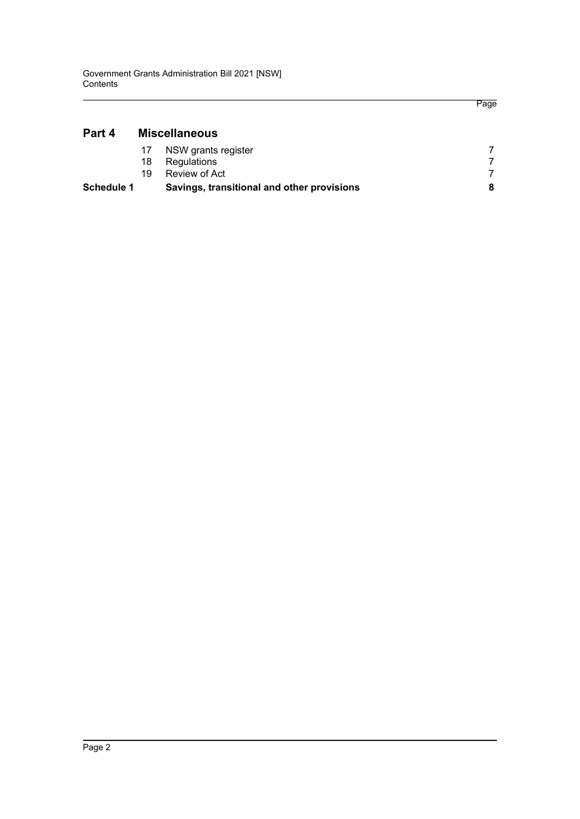### **[Part 4 Miscellaneous](#page-10-0)**

| Schedule 1 |     | Savings, transitional and other provisions |  |
|------------|-----|--------------------------------------------|--|
|            | 19. | Review of Act                              |  |
|            | 18  | Regulations                                |  |
|            |     | NSW grants register                        |  |
|            |     |                                            |  |

Page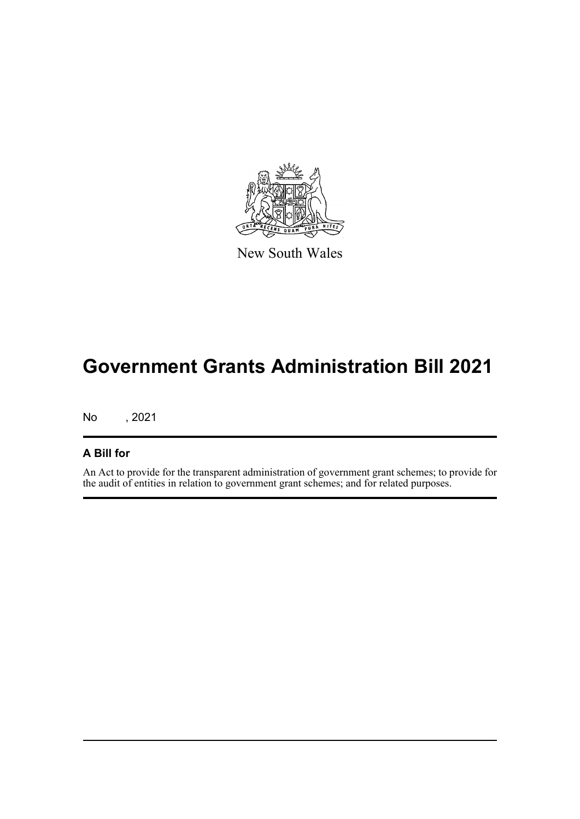

New South Wales

# **Government Grants Administration Bill 2021**

No , 2021

#### **A Bill for**

An Act to provide for the transparent administration of government grant schemes; to provide for the audit of entities in relation to government grant schemes; and for related purposes.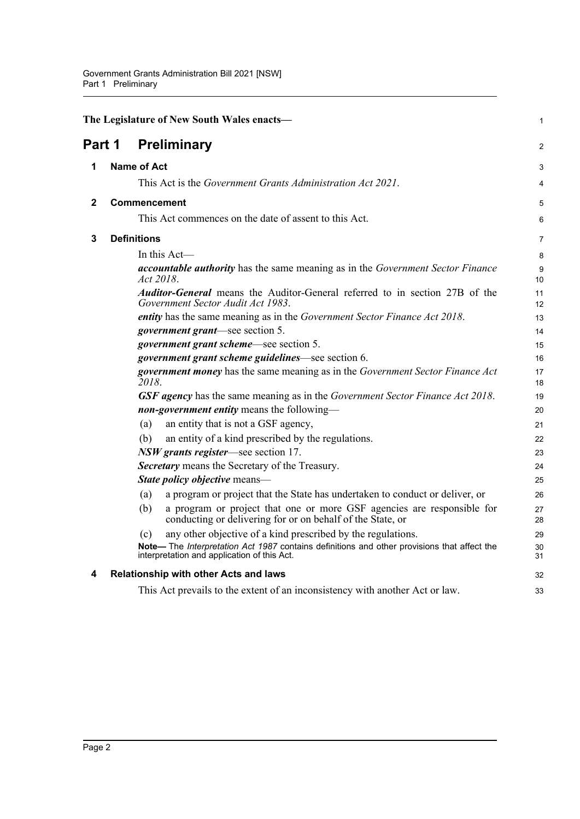<span id="page-5-4"></span><span id="page-5-3"></span><span id="page-5-2"></span><span id="page-5-1"></span><span id="page-5-0"></span>

|        | The Legislature of New South Wales enacts-                                                                                                  | 1        |
|--------|---------------------------------------------------------------------------------------------------------------------------------------------|----------|
| Part 1 | <b>Preliminary</b>                                                                                                                          | 2        |
| 1      | <b>Name of Act</b>                                                                                                                          | 3        |
|        | This Act is the Government Grants Administration Act 2021.                                                                                  | 4        |
| 2      | Commencement                                                                                                                                | 5        |
|        | This Act commences on the date of assent to this Act.                                                                                       | 6        |
| 3      | <b>Definitions</b>                                                                                                                          | 7        |
|        | In this Act-                                                                                                                                | 8        |
|        | <i>accountable authority</i> has the same meaning as in the <i>Government Sector Finance</i><br>Act 2018.                                   | 9<br>10  |
|        | <b>Auditor-General</b> means the Auditor-General referred to in section 27B of the<br>Government Sector Audit Act 1983.                     | 11<br>12 |
|        | entity has the same meaning as in the Government Sector Finance Act 2018.                                                                   | 13       |
|        | <i>government grant</i> —see section 5.                                                                                                     | 14       |
|        | <i>government grant scheme</i> —see section 5.                                                                                              | 15       |
|        | government grant scheme guidelines—see section 6.                                                                                           | 16       |
|        | government money has the same meaning as in the Government Sector Finance Act<br>2018.                                                      | 17<br>18 |
|        | <b>GSF agency</b> has the same meaning as in the Government Sector Finance Act 2018.                                                        | 19       |
|        | non-government entity means the following-                                                                                                  | 20       |
|        | an entity that is not a GSF agency,<br>(a)                                                                                                  | 21       |
|        | an entity of a kind prescribed by the regulations.<br>(b)                                                                                   | 22       |
|        | NSW grants register—see section 17.                                                                                                         | 23       |
|        | Secretary means the Secretary of the Treasury.                                                                                              | 24       |
|        | State policy objective means-                                                                                                               | 25       |
|        | a program or project that the State has undertaken to conduct or deliver, or<br>(a)                                                         | 26       |
|        | a program or project that one or more GSF agencies are responsible for<br>(b)<br>conducting or delivering for or on behalf of the State, or | 27<br>28 |
|        | any other objective of a kind prescribed by the regulations.<br>(c)                                                                         | 29       |
|        | Note-The Interpretation Act 1987 contains definitions and other provisions that affect the<br>interpretation and application of this Act.   | 30<br>31 |
| 4      | Relationship with other Acts and laws                                                                                                       | 32       |
|        | This Act prevails to the extent of an inconsistency with another Act or law.                                                                | 33       |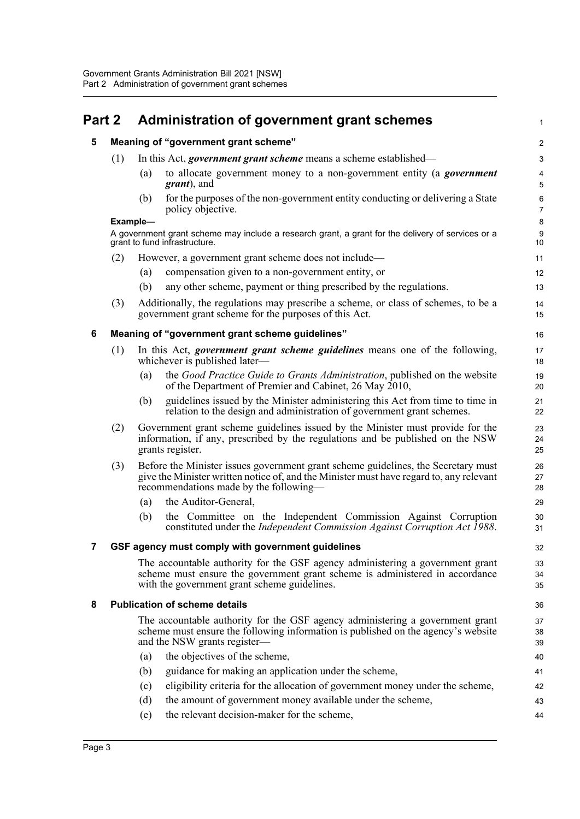## <span id="page-6-1"></span><span id="page-6-0"></span>**Part 2 Administration of government grant schemes**

1

43 44

#### **5 Meaning of "government grant scheme"**

<span id="page-6-2"></span>

| 5 | Meaning of "government grant scheme" |                                                                                                                                                                                                                        |                                                                                                                                                                                                               |                     |  |  |  |
|---|--------------------------------------|------------------------------------------------------------------------------------------------------------------------------------------------------------------------------------------------------------------------|---------------------------------------------------------------------------------------------------------------------------------------------------------------------------------------------------------------|---------------------|--|--|--|
|   | (1)                                  |                                                                                                                                                                                                                        | In this Act, <i>government grant scheme</i> means a scheme established—                                                                                                                                       | 3                   |  |  |  |
|   |                                      | (a)                                                                                                                                                                                                                    | to allocate government money to a non-government entity (a <i>government</i><br><i>grant</i> ), and                                                                                                           | 4<br>5              |  |  |  |
|   |                                      | (b)                                                                                                                                                                                                                    | for the purposes of the non-government entity conducting or delivering a State<br>policy objective.                                                                                                           | 6<br>$\overline{7}$ |  |  |  |
|   |                                      | Example-                                                                                                                                                                                                               |                                                                                                                                                                                                               |                     |  |  |  |
|   |                                      |                                                                                                                                                                                                                        | A government grant scheme may include a research grant, a grant for the delivery of services or a<br>grant to fund infrastructure.                                                                            | 9<br>10             |  |  |  |
|   | (2)                                  |                                                                                                                                                                                                                        | However, a government grant scheme does not include—                                                                                                                                                          | 11                  |  |  |  |
|   |                                      | (a)                                                                                                                                                                                                                    | compensation given to a non-government entity, or                                                                                                                                                             | 12                  |  |  |  |
|   |                                      | (b)                                                                                                                                                                                                                    | any other scheme, payment or thing prescribed by the regulations.                                                                                                                                             | 13                  |  |  |  |
|   | (3)                                  |                                                                                                                                                                                                                        | Additionally, the regulations may prescribe a scheme, or class of schemes, to be a<br>government grant scheme for the purposes of this Act.                                                                   | 14<br>15            |  |  |  |
| 6 |                                      |                                                                                                                                                                                                                        | Meaning of "government grant scheme guidelines"                                                                                                                                                               | 16                  |  |  |  |
|   | (1)                                  |                                                                                                                                                                                                                        | In this Act, <i>government</i> grant scheme guidelines means one of the following,<br>whichever is published later-                                                                                           | 17<br>18            |  |  |  |
|   |                                      | (a)                                                                                                                                                                                                                    | the Good Practice Guide to Grants Administration, published on the website<br>of the Department of Premier and Cabinet, 26 May 2010,                                                                          | 19<br>20            |  |  |  |
|   |                                      | (b)                                                                                                                                                                                                                    | guidelines issued by the Minister administering this Act from time to time in<br>relation to the design and administration of government grant schemes.                                                       | 21<br>22            |  |  |  |
|   | (2)                                  |                                                                                                                                                                                                                        | Government grant scheme guidelines issued by the Minister must provide for the<br>information, if any, prescribed by the regulations and be published on the NSW<br>grants register.                          | 23<br>24<br>25      |  |  |  |
|   | (3)                                  | Before the Minister issues government grant scheme guidelines, the Secretary must<br>give the Minister written notice of, and the Minister must have regard to, any relevant<br>recommendations made by the following— |                                                                                                                                                                                                               | 26<br>27<br>28      |  |  |  |
|   |                                      | (a)                                                                                                                                                                                                                    | the Auditor-General,                                                                                                                                                                                          | 29                  |  |  |  |
|   |                                      | (b)                                                                                                                                                                                                                    | the Committee on the Independent Commission Against Corruption<br>constituted under the Independent Commission Against Corruption Act 1988.                                                                   | 30<br>31            |  |  |  |
| 7 |                                      |                                                                                                                                                                                                                        | GSF agency must comply with government guidelines                                                                                                                                                             | 32                  |  |  |  |
|   |                                      |                                                                                                                                                                                                                        | The accountable authority for the GSF agency administering a government grant<br>scheme must ensure the government grant scheme is administered in accordance<br>with the government grant scheme guidelines. | 33<br>34<br>35      |  |  |  |
| 8 |                                      |                                                                                                                                                                                                                        | <b>Publication of scheme details</b>                                                                                                                                                                          | 36                  |  |  |  |
|   |                                      |                                                                                                                                                                                                                        | The accountable authority for the GSF agency administering a government grant<br>scheme must ensure the following information is published on the agency's website<br>and the NSW grants register—            | 37<br>38<br>39      |  |  |  |
|   |                                      | (a)                                                                                                                                                                                                                    | the objectives of the scheme,                                                                                                                                                                                 | 40                  |  |  |  |
|   |                                      | (b)                                                                                                                                                                                                                    | guidance for making an application under the scheme,                                                                                                                                                          | 41                  |  |  |  |
|   |                                      | (c)                                                                                                                                                                                                                    | eligibility criteria for the allocation of government money under the scheme,                                                                                                                                 | 42                  |  |  |  |

- <span id="page-6-4"></span><span id="page-6-3"></span>(c) eligibility criteria for the allocation of government money under the scheme, (d) the amount of government money available under the scheme,
- (e) the relevant decision-maker for the scheme,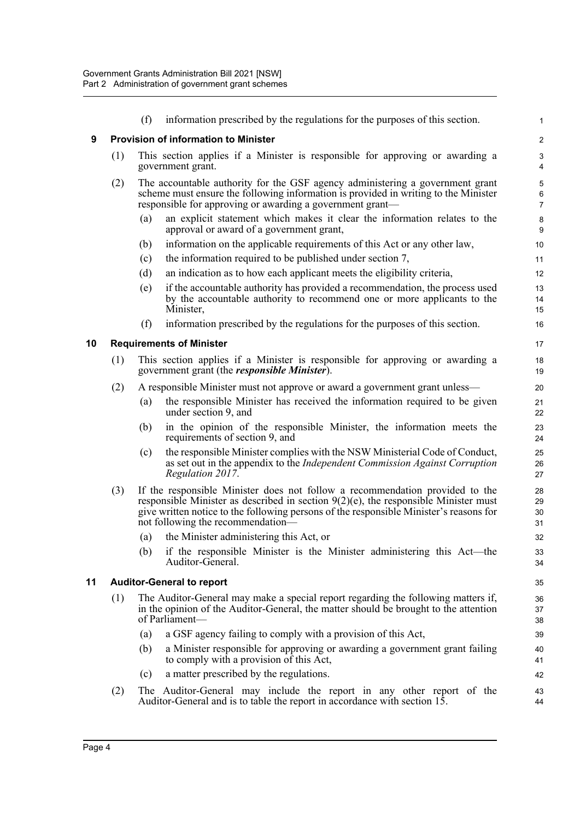<span id="page-7-2"></span><span id="page-7-1"></span><span id="page-7-0"></span>

|    |     | (f)               | information prescribed by the regulations for the purposes of this section.                                                                                                                                                                                                                           | 1                       |
|----|-----|-------------------|-------------------------------------------------------------------------------------------------------------------------------------------------------------------------------------------------------------------------------------------------------------------------------------------------------|-------------------------|
| 9  |     |                   | <b>Provision of information to Minister</b>                                                                                                                                                                                                                                                           | $\overline{\mathbf{c}}$ |
|    | (1) |                   | This section applies if a Minister is responsible for approving or awarding a<br>government grant.                                                                                                                                                                                                    | 3<br>4                  |
|    | (2) |                   | The accountable authority for the GSF agency administering a government grant<br>scheme must ensure the following information is provided in writing to the Minister<br>responsible for approving or awarding a government grant—                                                                     | 5<br>6<br>7             |
|    |     | (a)               | an explicit statement which makes it clear the information relates to the<br>approval or award of a government grant,                                                                                                                                                                                 | 8<br>9                  |
|    |     | (b)               | information on the applicable requirements of this Act or any other law,                                                                                                                                                                                                                              | 10                      |
|    |     | (c)               | the information required to be published under section 7,                                                                                                                                                                                                                                             | 11                      |
|    |     | (d)               | an indication as to how each applicant meets the eligibility criteria,                                                                                                                                                                                                                                | 12                      |
|    |     | (e)               | if the accountable authority has provided a recommendation, the process used<br>by the accountable authority to recommend one or more applicants to the<br>Minister,                                                                                                                                  | 13<br>14<br>15          |
|    |     | (f)               | information prescribed by the regulations for the purposes of this section.                                                                                                                                                                                                                           | 16                      |
| 10 |     |                   | <b>Requirements of Minister</b>                                                                                                                                                                                                                                                                       | 17                      |
|    | (1) |                   | This section applies if a Minister is responsible for approving or awarding a<br>government grant (the <i>responsible Minister</i> ).                                                                                                                                                                 | 18<br>19                |
|    | (2) |                   | A responsible Minister must not approve or award a government grant unless—                                                                                                                                                                                                                           | 20                      |
|    |     | $\left( a\right)$ | the responsible Minister has received the information required to be given<br>under section 9, and                                                                                                                                                                                                    | 21<br>22                |
|    |     | (b)               | in the opinion of the responsible Minister, the information meets the<br>requirements of section 9, and                                                                                                                                                                                               | 23<br>24                |
|    |     | (c)               | the responsible Minister complies with the NSW Ministerial Code of Conduct,<br>as set out in the appendix to the Independent Commission Against Corruption<br>Regulation 2017.                                                                                                                        | 25<br>26<br>27          |
|    | (3) |                   | If the responsible Minister does not follow a recommendation provided to the<br>responsible Minister as described in section $9(2)(e)$ , the responsible Minister must<br>give written notice to the following persons of the responsible Minister's reasons for<br>not following the recommendation— | 28<br>29<br>30<br>31    |
|    |     | (a)               | the Minister administering this Act, or                                                                                                                                                                                                                                                               | 32                      |
|    |     | (b)               | if the responsible Minister is the Minister administering this Act-the<br>Auditor-General.                                                                                                                                                                                                            | 33<br>34                |
| 11 |     |                   | <b>Auditor-General to report</b>                                                                                                                                                                                                                                                                      | 35                      |
|    | (1) |                   | The Auditor-General may make a special report regarding the following matters if,<br>in the opinion of the Auditor-General, the matter should be brought to the attention<br>of Parliament-                                                                                                           | 36<br>37<br>38          |
|    |     | (a)               | a GSF agency failing to comply with a provision of this Act,                                                                                                                                                                                                                                          | 39                      |
|    |     | (b)               | a Minister responsible for approving or awarding a government grant failing<br>to comply with a provision of this Act,                                                                                                                                                                                | 40<br>41                |
|    |     | (c)               | a matter prescribed by the regulations.                                                                                                                                                                                                                                                               | 42                      |
|    | (2) |                   | The Auditor-General may include the report in any other report of the<br>Auditor-General and is to table the report in accordance with section 15.                                                                                                                                                    | 43<br>44                |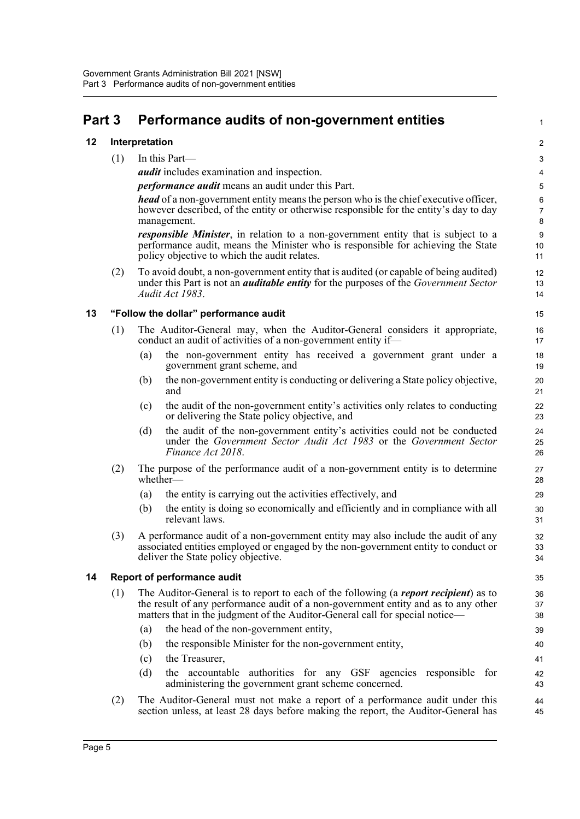## <span id="page-8-0"></span>**Part 3 Performance audits of non-government entities**

#### <span id="page-8-1"></span>**12 Interpretation**

(1) In this Part—

*audit* includes examination and inspection.

*performance audit* means an audit under this Part.

*head* of a non-government entity means the person who is the chief executive officer, however described, of the entity or otherwise responsible for the entity's day to day management.

1

*responsible Minister*, in relation to a non-government entity that is subject to a performance audit, means the Minister who is responsible for achieving the State policy objective to which the audit relates.

(2) To avoid doubt, a non-government entity that is audited (or capable of being audited) under this Part is not an *auditable entity* for the purposes of the *Government Sector Audit Act 1983*.

#### <span id="page-8-2"></span>**13 "Follow the dollar" performance audit**

- (1) The Auditor-General may, when the Auditor-General considers it appropriate, conduct an audit of activities of a non-government entity if—
	- (a) the non-government entity has received a government grant under a government grant scheme, and
	- (b) the non-government entity is conducting or delivering a State policy objective, and
	- (c) the audit of the non-government entity's activities only relates to conducting or delivering the State policy objective, and
	- (d) the audit of the non-government entity's activities could not be conducted under the *Government Sector Audit Act 1983* or the *Government Sector Finance Act 2018*.
- (2) The purpose of the performance audit of a non-government entity is to determine whether—
	- (a) the entity is carrying out the activities effectively, and
	- (b) the entity is doing so economically and efficiently and in compliance with all relevant laws.
- (3) A performance audit of a non-government entity may also include the audit of any associated entities employed or engaged by the non-government entity to conduct or deliver the State policy objective.

#### <span id="page-8-3"></span>**14 Report of performance audit**

- (1) The Auditor-General is to report to each of the following (a *report recipient*) as to the result of any performance audit of a non-government entity and as to any other matters that in the judgment of the Auditor-General call for special notice—
	- (a) the head of the non-government entity,
	- (b) the responsible Minister for the non-government entity,
	- (c) the Treasurer,
	- (d) the accountable authorities for any GSF agencies responsible for administering the government grant scheme concerned.
- (2) The Auditor-General must not make a report of a performance audit under this section unless, at least 28 days before making the report, the Auditor-General has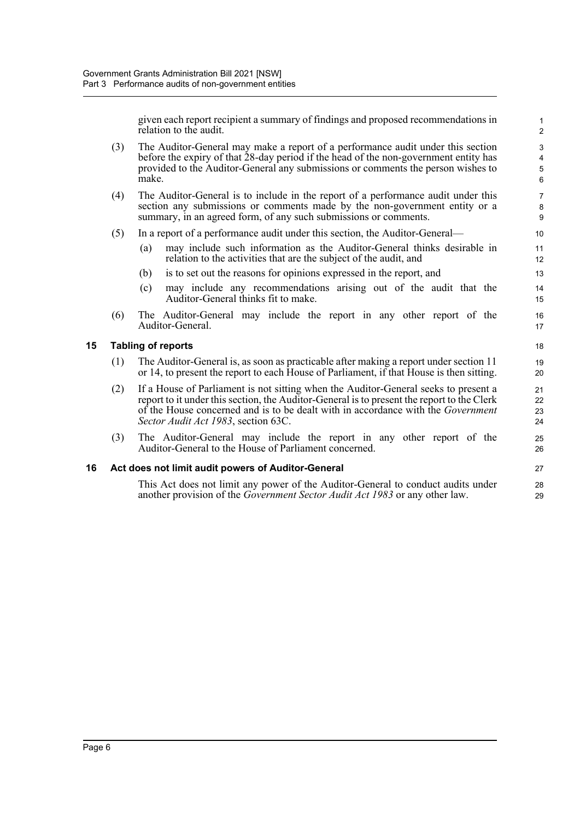given each report recipient a summary of findings and proposed recommendations in relation to the audit.

1

|    |                                                                                                                                                                                                                                                                             | relation to the audit.                                                                                                                                                                                                                                                                                              | 2                    |  |  |
|----|-----------------------------------------------------------------------------------------------------------------------------------------------------------------------------------------------------------------------------------------------------------------------------|---------------------------------------------------------------------------------------------------------------------------------------------------------------------------------------------------------------------------------------------------------------------------------------------------------------------|----------------------|--|--|
|    | The Auditor-General may make a report of a performance audit under this section<br>(3)<br>before the expiry of that 28-day period if the head of the non-government entity has<br>provided to the Auditor-General any submissions or comments the person wishes to<br>make. |                                                                                                                                                                                                                                                                                                                     |                      |  |  |
|    | (4)                                                                                                                                                                                                                                                                         | The Auditor-General is to include in the report of a performance audit under this<br>section any submissions or comments made by the non-government entity or a<br>summary, in an agreed form, of any such submissions or comments.                                                                                 |                      |  |  |
|    | (5)                                                                                                                                                                                                                                                                         | In a report of a performance audit under this section, the Auditor-General—                                                                                                                                                                                                                                         |                      |  |  |
|    |                                                                                                                                                                                                                                                                             | may include such information as the Auditor-General thinks desirable in<br>(a)<br>relation to the activities that are the subject of the audit, and                                                                                                                                                                 | 11<br>12             |  |  |
|    |                                                                                                                                                                                                                                                                             | is to set out the reasons for opinions expressed in the report, and<br>(b)                                                                                                                                                                                                                                          | 13                   |  |  |
|    |                                                                                                                                                                                                                                                                             | may include any recommendations arising out of the audit that the<br>(c)<br>Auditor-General thinks fit to make.                                                                                                                                                                                                     | 14<br>15             |  |  |
|    | (6)                                                                                                                                                                                                                                                                         | The Auditor-General may include the report in any other report of the<br>Auditor-General.                                                                                                                                                                                                                           | 16<br>17             |  |  |
| 15 |                                                                                                                                                                                                                                                                             | <b>Tabling of reports</b>                                                                                                                                                                                                                                                                                           | 18                   |  |  |
|    | (1)                                                                                                                                                                                                                                                                         | The Auditor-General is, as soon as practicable after making a report under section 11<br>or 14, to present the report to each House of Parliament, if that House is then sitting.                                                                                                                                   | 19<br>20             |  |  |
|    | (2)                                                                                                                                                                                                                                                                         | If a House of Parliament is not sitting when the Auditor-General seeks to present a<br>report to it under this section, the Auditor-General is to present the report to the Clerk<br>of the House concerned and is to be dealt with in accordance with the <i>Government</i><br>Sector Audit Act 1983, section 63C. | 21<br>22<br>23<br>24 |  |  |
|    | (3)                                                                                                                                                                                                                                                                         | The Auditor-General may include the report in any other report of the<br>Auditor-General to the House of Parliament concerned.                                                                                                                                                                                      | 25<br>26             |  |  |
| 16 |                                                                                                                                                                                                                                                                             | Act does not limit audit powers of Auditor-General                                                                                                                                                                                                                                                                  | 27                   |  |  |
|    |                                                                                                                                                                                                                                                                             | This Act does not limit any power of the Auditor-General to conduct audits under<br>another provision of the <i>Government Sector Audit Act 1983</i> or any other law.                                                                                                                                              | 28<br>29             |  |  |

<span id="page-9-1"></span><span id="page-9-0"></span>**15 Tabling of reports**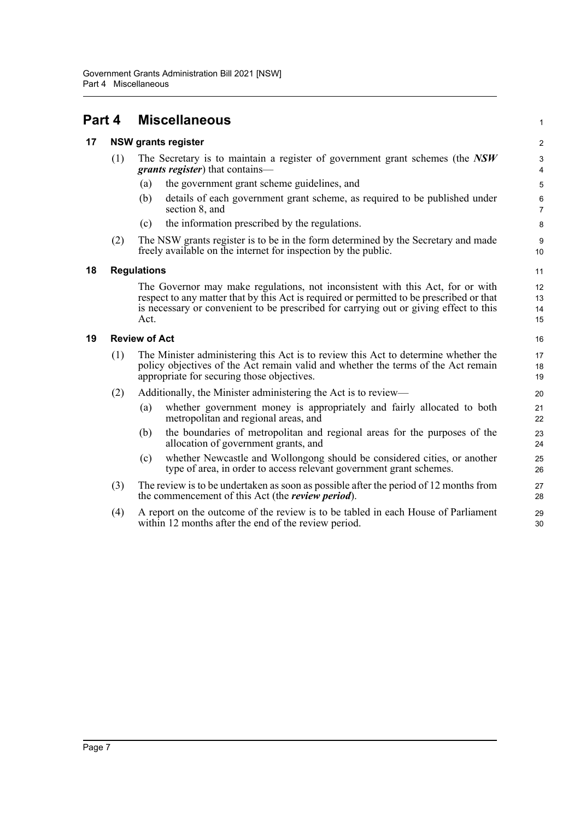### <span id="page-10-0"></span>**Part 4 Miscellaneous**

#### <span id="page-10-1"></span>**17 NSW grants register**

| The Secretary is to maintain a register of government grant schemes (the $NSW$ |
|--------------------------------------------------------------------------------|
| <i>grants register</i> ) that contains—                                        |

- (a) the government grant scheme guidelines, and
- (b) details of each government grant scheme, as required to be published under section 8, and

1

- (c) the information prescribed by the regulations.
- (2) The NSW grants register is to be in the form determined by the Secretary and made freely available on the internet for inspection by the public.

#### <span id="page-10-2"></span>**18 Regulations**

The Governor may make regulations, not inconsistent with this Act, for or with respect to any matter that by this Act is required or permitted to be prescribed or that is necessary or convenient to be prescribed for carrying out or giving effect to this Act.

#### <span id="page-10-3"></span>**19 Review of Act**

- (1) The Minister administering this Act is to review this Act to determine whether the policy objectives of the Act remain valid and whether the terms of the Act remain appropriate for securing those objectives.
- (2) Additionally, the Minister administering the Act is to review—
	- (a) whether government money is appropriately and fairly allocated to both metropolitan and regional areas, and
	- (b) the boundaries of metropolitan and regional areas for the purposes of the allocation of government grants, and
	- (c) whether Newcastle and Wollongong should be considered cities, or another type of area, in order to access relevant government grant schemes.
- (3) The review is to be undertaken as soon as possible after the period of 12 months from the commencement of this Act (the *review period*).
- (4) A report on the outcome of the review is to be tabled in each House of Parliament within 12 months after the end of the review period.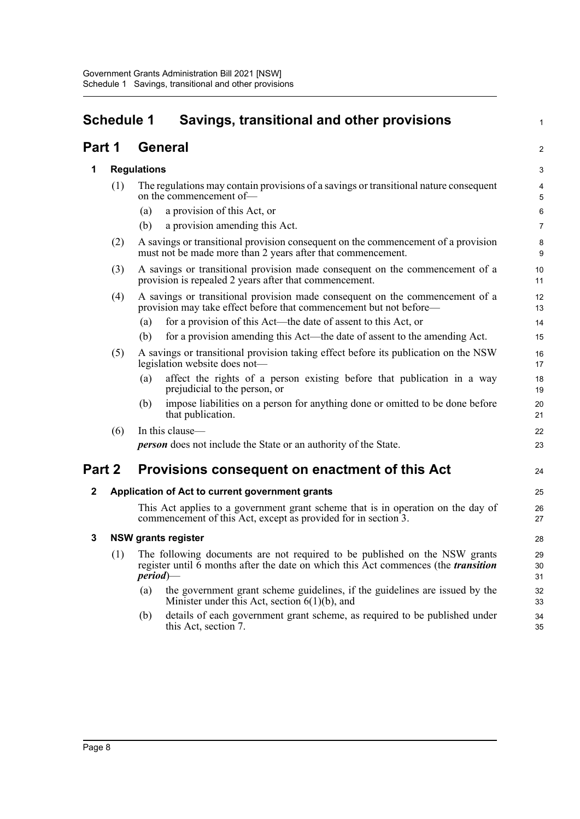<span id="page-11-0"></span>

| <b>Schedule 1</b><br>Savings, transitional and other provisions |                                                 |                                                                                                                                                                                        | 1                                                                                                                                                                                 |                  |
|-----------------------------------------------------------------|-------------------------------------------------|----------------------------------------------------------------------------------------------------------------------------------------------------------------------------------------|-----------------------------------------------------------------------------------------------------------------------------------------------------------------------------------|------------------|
|                                                                 | <b>General</b><br>Part 1                        |                                                                                                                                                                                        |                                                                                                                                                                                   | 2                |
| 1                                                               |                                                 |                                                                                                                                                                                        | <b>Regulations</b>                                                                                                                                                                |                  |
|                                                                 | (1)                                             | (a)<br>(b)                                                                                                                                                                             | The regulations may contain provisions of a savings or transitional nature consequent<br>on the commencement of-<br>a provision of this Act, or<br>a provision amending this Act. | 4<br>5<br>6<br>7 |
|                                                                 | (2)                                             |                                                                                                                                                                                        | A savings or transitional provision consequent on the commencement of a provision<br>must not be made more than 2 years after that commencement.                                  | 8<br>9           |
|                                                                 | (3)                                             |                                                                                                                                                                                        | A savings or transitional provision made consequent on the commencement of a<br>provision is repealed 2 years after that commencement.                                            | 10<br>11         |
|                                                                 | (4)                                             |                                                                                                                                                                                        | A savings or transitional provision made consequent on the commencement of a<br>provision may take effect before that commencement but not before—                                | 12<br>13         |
|                                                                 |                                                 | (a)                                                                                                                                                                                    | for a provision of this Act—the date of assent to this Act, or                                                                                                                    | 14               |
|                                                                 |                                                 | (b)                                                                                                                                                                                    | for a provision amending this Act—the date of assent to the amending Act.                                                                                                         | 15               |
|                                                                 | (5)                                             |                                                                                                                                                                                        | A savings or transitional provision taking effect before its publication on the NSW<br>legislation website does not-                                                              | 16<br>17         |
|                                                                 |                                                 | (a)                                                                                                                                                                                    | affect the rights of a person existing before that publication in a way<br>prejudicial to the person, or                                                                          | 18<br>19         |
|                                                                 |                                                 | (b)                                                                                                                                                                                    | impose liabilities on a person for anything done or omitted to be done before<br>that publication.                                                                                | 20<br>21         |
|                                                                 | (6)                                             |                                                                                                                                                                                        | In this clause-                                                                                                                                                                   | 22               |
|                                                                 |                                                 |                                                                                                                                                                                        | <b>person</b> does not include the State or an authority of the State.                                                                                                            | 23               |
| Part 2                                                          |                                                 |                                                                                                                                                                                        | Provisions consequent on enactment of this Act                                                                                                                                    | 24               |
| $\mathbf{2}$                                                    | Application of Act to current government grants |                                                                                                                                                                                        |                                                                                                                                                                                   | 25               |
|                                                                 |                                                 |                                                                                                                                                                                        | This Act applies to a government grant scheme that is in operation on the day of<br>commencement of this Act, except as provided for in section 3.                                | 26<br>27         |
| 3                                                               |                                                 |                                                                                                                                                                                        | <b>NSW grants register</b>                                                                                                                                                        | 28               |
|                                                                 | (1)                                             | The following documents are not required to be published on the NSW grants<br>register until 6 months after the date on which this Act commences (the <i>transition</i><br>$period$ )— |                                                                                                                                                                                   | 29<br>30<br>31   |
|                                                                 |                                                 | (a)                                                                                                                                                                                    | the government grant scheme guidelines, if the guidelines are issued by the<br>Minister under this Act, section $6(1)(b)$ , and                                                   | 32<br>33         |
|                                                                 |                                                 | (b)                                                                                                                                                                                    | details of each government grant scheme, as required to be published under<br>this Act, section 7.                                                                                | 34<br>35         |